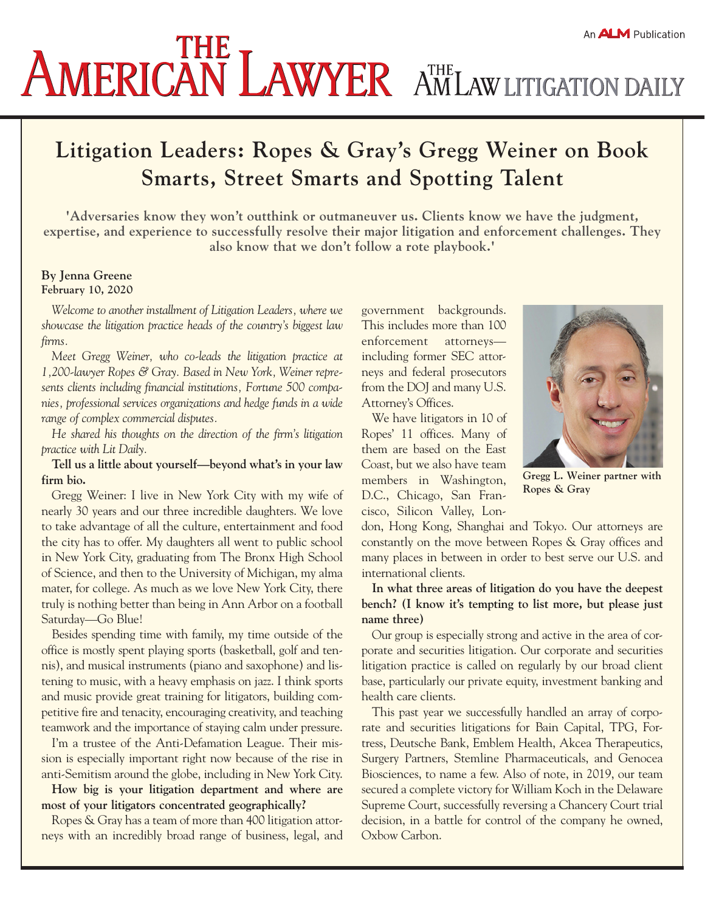# An **ALM** Publication **AMERICAN LAWYER** AMLAW LITIGATION DAILY

## **Litigation Leaders: Ropes & Gray's Gregg Weiner on Book Smarts, Street Smarts and Spotting Talent**

**'Adversaries know they won't outthink or outmaneuver us. Clients know we have the judgment, expertise, and experience to successfully resolve their major litigation and enforcement challenges. They also know that we don't follow a rote playbook.'**

#### **By Jenna Greene February 10, 2020**

*Welcome to another installment of Litigation Leaders, where we showcase the litigation practice heads of the country's biggest law firms.*

*Meet Gregg Weiner, who co-leads the litigation practice at 1,200-lawyer Ropes & Gray. Based in New York, Weiner represents clients including financial institutions, Fortune 500 companies, professional services organizations and hedge funds in a wide range of complex commercial disputes.*

*He shared his thoughts on the direction of the firm's litigation practice with Lit Daily.*

**Tell us a little about yourself—beyond what's in your law firm bio.**

Gregg Weiner: I live in New York City with my wife of nearly 30 years and our three incredible daughters. We love to take advantage of all the culture, entertainment and food the city has to offer. My daughters all went to public school in New York City, graduating from The Bronx High School of Science, and then to the University of Michigan, my alma mater, for college. As much as we love New York City, there truly is nothing better than being in Ann Arbor on a football Saturday—Go Blue!

Besides spending time with family, my time outside of the office is mostly spent playing sports (basketball, golf and tennis), and musical instruments (piano and saxophone) and listening to music, with a heavy emphasis on jazz. I think sports and music provide great training for litigators, building competitive fire and tenacity, encouraging creativity, and teaching teamwork and the importance of staying calm under pressure.

I'm a trustee of the Anti-Defamation League. Their mission is especially important right now because of the rise in anti-Semitism around the globe, including in New York City.

**How big is your litigation department and where are most of your litigators concentrated geographically?**

Ropes & Gray has a team of more than 400 litigation attorneys with an incredibly broad range of business, legal, and government backgrounds. This includes more than 100 enforcement attorneys including former SEC attorneys and federal prosecutors from the DOJ and many U.S. Attorney's Offices.

We have litigators in 10 of Ropes' 11 offices. Many of them are based on the East Coast, but we also have team members in Washington, D.C., Chicago, San Francisco, Silicon Valley, Lon-



**Gregg L. Weiner partner with Ropes & Gray**

don, Hong Kong, Shanghai and Tokyo. Our attorneys are constantly on the move between Ropes & Gray offices and many places in between in order to best serve our U.S. and international clients.

**In what three areas of litigation do you have the deepest bench? (I know it's tempting to list more, but please just name three)**

Our group is especially strong and active in the area of corporate and securities litigation. Our corporate and securities litigation practice is called on regularly by our broad client base, particularly our private equity, investment banking and health care clients.

This past year we successfully handled an array of corporate and securities litigations for Bain Capital, TPG, Fortress, Deutsche Bank, Emblem Health, Akcea Therapeutics, Surgery Partners, Stemline Pharmaceuticals, and Genocea Biosciences, to name a few. Also of note, in 2019, our team secured a complete victory for William Koch in the Delaware Supreme Court, successfully reversing a Chancery Court trial decision, in a battle for control of the company he owned, Oxbow Carbon.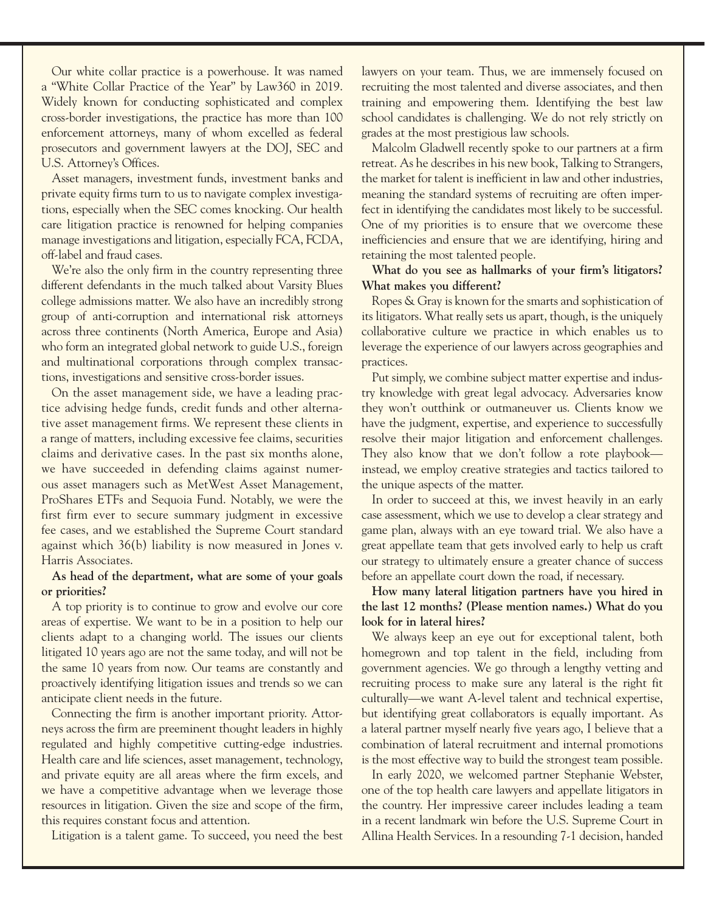Our white collar practice is a powerhouse. It was named a "White Collar Practice of the Year" by Law360 in 2019. Widely known for conducting sophisticated and complex cross-border investigations, the practice has more than 100 enforcement attorneys, many of whom excelled as federal prosecutors and government lawyers at the DOJ, SEC and U.S. Attorney's Offices.

Asset managers, investment funds, investment banks and private equity firms turn to us to navigate complex investigations, especially when the SEC comes knocking. Our health care litigation practice is renowned for helping companies manage investigations and litigation, especially FCA, FCDA, off-label and fraud cases.

We're also the only firm in the country representing three different defendants in the much talked about Varsity Blues college admissions matter. We also have an incredibly strong group of anti-corruption and international risk attorneys across three continents (North America, Europe and Asia) who form an integrated global network to guide U.S., foreign and multinational corporations through complex transactions, investigations and sensitive cross-border issues.

On the asset management side, we have a leading practice advising hedge funds, credit funds and other alternative asset management firms. We represent these clients in a range of matters, including excessive fee claims, securities claims and derivative cases. In the past six months alone, we have succeeded in defending claims against numerous asset managers such as MetWest Asset Management, ProShares ETFs and Sequoia Fund. Notably, we were the first firm ever to secure summary judgment in excessive fee cases, and we established the Supreme Court standard against which 36(b) liability is now measured in Jones v. Harris Associates.

#### **As head of the department, what are some of your goals or priorities?**

A top priority is to continue to grow and evolve our core areas of expertise. We want to be in a position to help our clients adapt to a changing world. The issues our clients litigated 10 years ago are not the same today, and will not be the same 10 years from now. Our teams are constantly and proactively identifying litigation issues and trends so we can anticipate client needs in the future.

Connecting the firm is another important priority. Attorneys across the firm are preeminent thought leaders in highly regulated and highly competitive cutting-edge industries. Health care and life sciences, asset management, technology, and private equity are all areas where the firm excels, and we have a competitive advantage when we leverage those resources in litigation. Given the size and scope of the firm, this requires constant focus and attention.

Litigation is a talent game. To succeed, you need the best

lawyers on your team. Thus, we are immensely focused on recruiting the most talented and diverse associates, and then training and empowering them. Identifying the best law school candidates is challenging. We do not rely strictly on grades at the most prestigious law schools.

Malcolm Gladwell recently spoke to our partners at a firm retreat. As he describes in his new book, Talking to Strangers, the market for talent is inefficient in law and other industries, meaning the standard systems of recruiting are often imperfect in identifying the candidates most likely to be successful. One of my priorities is to ensure that we overcome these inefficiencies and ensure that we are identifying, hiring and retaining the most talented people.

#### **What do you see as hallmarks of your firm's litigators? What makes you different?**

Ropes & Gray is known for the smarts and sophistication of its litigators. What really sets us apart, though, is the uniquely collaborative culture we practice in which enables us to leverage the experience of our lawyers across geographies and practices.

Put simply, we combine subject matter expertise and industry knowledge with great legal advocacy. Adversaries know they won't outthink or outmaneuver us. Clients know we have the judgment, expertise, and experience to successfully resolve their major litigation and enforcement challenges. They also know that we don't follow a rote playbook instead, we employ creative strategies and tactics tailored to the unique aspects of the matter.

In order to succeed at this, we invest heavily in an early case assessment, which we use to develop a clear strategy and game plan, always with an eye toward trial. We also have a great appellate team that gets involved early to help us craft our strategy to ultimately ensure a greater chance of success before an appellate court down the road, if necessary.

### **How many lateral litigation partners have you hired in the last 12 months? (Please mention names.) What do you look for in lateral hires?**

We always keep an eye out for exceptional talent, both homegrown and top talent in the field, including from government agencies. We go through a lengthy vetting and recruiting process to make sure any lateral is the right fit culturally—we want A-level talent and technical expertise, but identifying great collaborators is equally important. As a lateral partner myself nearly five years ago, I believe that a combination of lateral recruitment and internal promotions is the most effective way to build the strongest team possible.

In early 2020, we welcomed partner Stephanie Webster, one of the top health care lawyers and appellate litigators in the country. Her impressive career includes leading a team in a recent landmark win before the U.S. Supreme Court in Allina Health Services. In a resounding 7-1 decision, handed